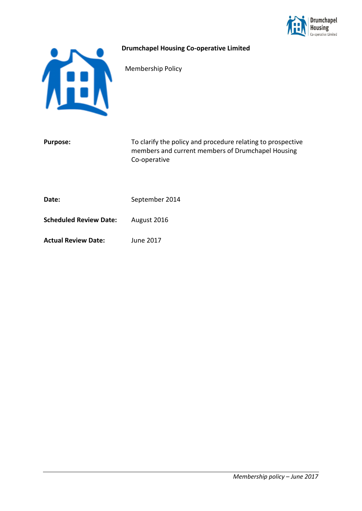

## **Drumchapel Housing Co-operative Limited**

Membership Policy

| To clarify the policy and procedure relating to prospective<br>members and current members of Drumchapel Housing<br>Co-operative |
|----------------------------------------------------------------------------------------------------------------------------------|
| September 2014                                                                                                                   |
| August 2016                                                                                                                      |
| June 2017                                                                                                                        |
|                                                                                                                                  |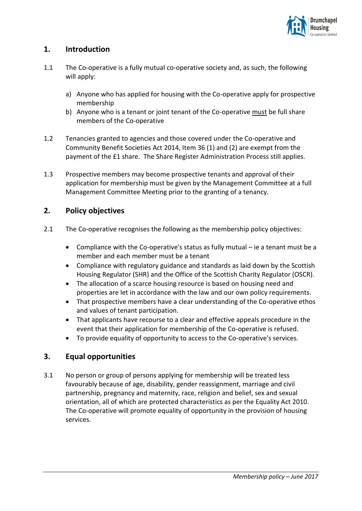

# **1. Introduction**

- 1.1 The Co-operative is a fully mutual co-operative society and, as such, the following will apply:
	- a) Anyone who has applied for housing with the Co-operative apply for prospective membership
	- b) Anyone who is a tenant or joint tenant of the Co-operative must be full share members of the Co-operative
- 1.2 Tenancies granted to agencies and those covered under the Co-operative and Community Benefit Societies Act 2014, Item 36 (1) and (2) are exempt from the payment of the £1 share. The Share Register Administration Process still applies.
- 1.3 Prospective members may become prospective tenants and approval of their application for membership must be given by the Management Committee at a full Management Committee Meeting prior to the granting of a tenancy.

## **2. Policy objectives**

- 2.1 The Co-operative recognises the following as the membership policy objectives:
	- Compliance with the Co-operative's status as fully mutual ie a tenant must be a member and each member must be a tenant
	- Compliance with regulatory guidance and standards as laid down by the Scottish Housing Regulator (SHR) and the Office of the Scottish Charity Regulator (OSCR).
	- The allocation of a scarce housing resource is based on housing need and properties are let in accordance with the law and our own policy requirements.
	- That prospective members have a clear understanding of the Co-operative ethos and values of tenant participation.
	- That applicants have recourse to a clear and effective appeals procedure in the event that their application for membership of the Co-operative is refused.
	- To provide equality of opportunity to access to the Co-operative's services.

# **3. Equal opportunities**

3.1 No person or group of persons applying for membership will be treated less favourably because of age, disability, gender reassignment, marriage and civil partnership, pregnancy and maternity, race, religion and belief, sex and sexual orientation, all of which are protected characteristics as per the Equality Act 2010. The Co-operative will promote equality of opportunity in the provision of housing services.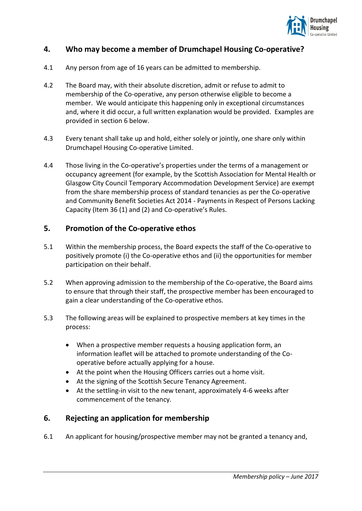

## **4. Who may become a member of Drumchapel Housing Co-operative?**

- 4.1 Any person from age of 16 years can be admitted to membership.
- 4.2 The Board may, with their absolute discretion, admit or refuse to admit to membership of the Co-operative, any person otherwise eligible to become a member. We would anticipate this happening only in exceptional circumstances and, where it did occur, a full written explanation would be provided. Examples are provided in section 6 below.
- 4.3 Every tenant shall take up and hold, either solely or jointly, one share only within Drumchapel Housing Co-operative Limited.
- 4.4 Those living in the Co-operative's properties under the terms of a management or occupancy agreement (for example, by the Scottish Association for Mental Health or Glasgow City Council Temporary Accommodation Development Service) are exempt from the share membership process of standard tenancies as per the Co-operative and Community Benefit Societies Act 2014 - Payments in Respect of Persons Lacking Capacity (Item 36 (1) and (2) and Co-operative's Rules.

## **5. Promotion of the Co-operative ethos**

- 5.1 Within the membership process, the Board expects the staff of the Co-operative to positively promote (i) the Co-operative ethos and (ii) the opportunities for member participation on their behalf.
- 5.2 When approving admission to the membership of the Co-operative, the Board aims to ensure that through their staff, the prospective member has been encouraged to gain a clear understanding of the Co-operative ethos.
- 5.3 The following areas will be explained to prospective members at key times in the process:
	- When a prospective member requests a housing application form, an information leaflet will be attached to promote understanding of the Cooperative before actually applying for a house.
	- At the point when the Housing Officers carries out a home visit.
	- At the signing of the Scottish Secure Tenancy Agreement.
	- At the settling-in visit to the new tenant, approximately 4-6 weeks after commencement of the tenancy.

## **6. Rejecting an application for membership**

6.1 An applicant for housing/prospective member may not be granted a tenancy and,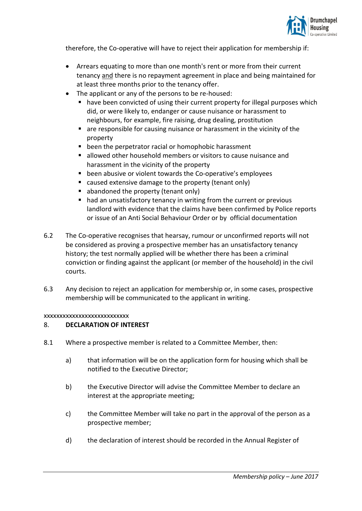

therefore, the Co-operative will have to reject their application for membership if:

- Arrears equating to more than one month's rent or more from their current tenancy and there is no repayment agreement in place and being maintained for at least three months prior to the tenancy offer.
- The applicant or any of the persons to be re-housed:
	- have been convicted of using their current property for illegal purposes which did, or were likely to, endanger or cause nuisance or harassment to neighbours, for example, fire raising, drug dealing, prostitution
	- are responsible for causing nuisance or harassment in the vicinity of the property
	- been the perpetrator racial or homophobic harassment
	- allowed other household members or visitors to cause nuisance and harassment in the vicinity of the property
	- been abusive or violent towards the Co-operative's employees
	- caused extensive damage to the property (tenant only)
	- abandoned the property (tenant only)
	- had an unsatisfactory tenancy in writing from the current or previous landlord with evidence that the claims have been confirmed by Police reports or issue of an Anti Social Behaviour Order or by official documentation
- 6.2 The Co-operative recognises that hearsay, rumour or unconfirmed reports will not be considered as proving a prospective member has an unsatisfactory tenancy history; the test normally applied will be whether there has been a criminal conviction or finding against the applicant (or member of the household) in the civil courts.
- 6.3 Any decision to reject an application for membership or, in some cases, prospective membership will be communicated to the applicant in writing.

xxxxxxxxxxxxxxxxxxxxxxxxxxx

## 8. **DECLARATION OF INTEREST**

- 8.1 Where a prospective member is related to a Committee Member, then:
	- a) that information will be on the application form for housing which shall be notified to the Executive Director;
	- b) the Executive Director will advise the Committee Member to declare an interest at the appropriate meeting;
	- c) the Committee Member will take no part in the approval of the person as a prospective member;
	- d) the declaration of interest should be recorded in the Annual Register of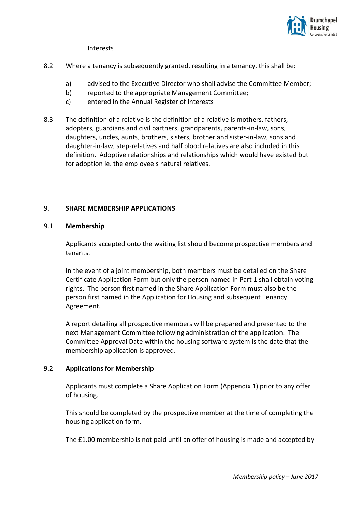

Interests

- 8.2 Where a tenancy is subsequently granted, resulting in a tenancy, this shall be:
	- a) advised to the Executive Director who shall advise the Committee Member;
	- b) reported to the appropriate Management Committee;
	- c) entered in the Annual Register of Interests
- 8.3 The definition of a relative is the definition of a relative is mothers, fathers, adopters, guardians and civil partners, grandparents, parents-in-law, sons, daughters, uncles, aunts, brothers, sisters, brother and sister-in-law, sons and daughter-in-law, step-relatives and half blood relatives are also included in this definition. Adoptive relationships and relationships which would have existed but for adoption ie. the employee's natural relatives.

#### 9. **SHARE MEMBERSHIP APPLICATIONS**

#### 9.1 **Membership**

Applicants accepted onto the waiting list should become prospective members and tenants.

In the event of a joint membership, both members must be detailed on the Share Certificate Application Form but only the person named in Part 1 shall obtain voting rights. The person first named in the Share Application Form must also be the person first named in the Application for Housing and subsequent Tenancy Agreement.

A report detailing all prospective members will be prepared and presented to the next Management Committee following administration of the application. The Committee Approval Date within the housing software system is the date that the membership application is approved.

#### 9.2 **Applications for Membership**

Applicants must complete a Share Application Form (Appendix 1) prior to any offer of housing.

This should be completed by the prospective member at the time of completing the housing application form.

The £1.00 membership is not paid until an offer of housing is made and accepted by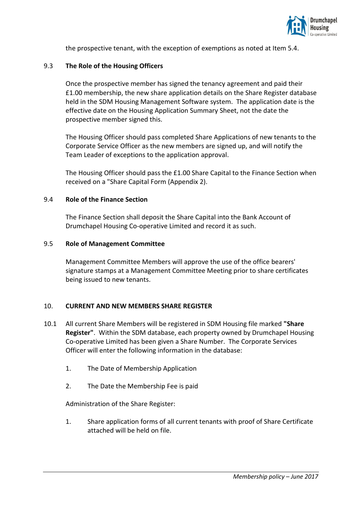

the prospective tenant, with the exception of exemptions as noted at Item 5.4.

### 9.3 **The Role of the Housing Officers**

Once the prospective member has signed the tenancy agreement and paid their £1.00 membership, the new share application details on the Share Register database held in the SDM Housing Management Software system. The application date is the effective date on the Housing Application Summary Sheet, not the date the prospective member signed this.

The Housing Officer should pass completed Share Applications of new tenants to the Corporate Service Officer as the new members are signed up, and will notify the Team Leader of exceptions to the application approval.

The Housing Officer should pass the £1.00 Share Capital to the Finance Section when received on a "Share Capital Form (Appendix 2).

#### 9.4 **Role of the Finance Section**

The Finance Section shall deposit the Share Capital into the Bank Account of Drumchapel Housing Co-operative Limited and record it as such.

#### 9.5 **Role of Management Committee**

Management Committee Members will approve the use of the office bearers' signature stamps at a Management Committee Meeting prior to share certificates being issued to new tenants.

#### 10. **CURRENT AND NEW MEMBERS SHARE REGISTER**

- 10.1 All current Share Members will be registered in SDM Housing file marked **"Share Register"**. Within the SDM database, each property owned by Drumchapel Housing Co-operative Limited has been given a Share Number. The Corporate Services Officer will enter the following information in the database:
	- 1. The Date of Membership Application
	- 2. The Date the Membership Fee is paid

Administration of the Share Register:

1. Share application forms of all current tenants with proof of Share Certificate attached will be held on file.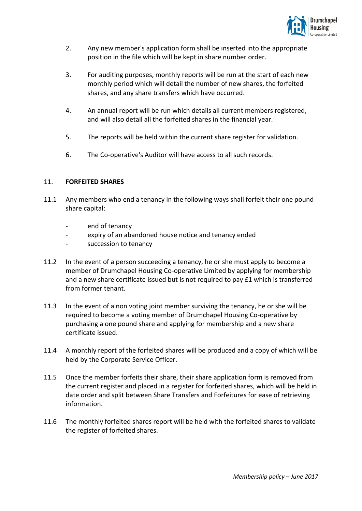

- 2. Any new member's application form shall be inserted into the appropriate position in the file which will be kept in share number order.
- 3. For auditing purposes, monthly reports will be run at the start of each new monthly period which will detail the number of new shares, the forfeited shares, and any share transfers which have occurred.
- 4. An annual report will be run which details all current members registered, and will also detail all the forfeited shares in the financial year.
- 5. The reports will be held within the current share register for validation.
- 6. The Co-operative's Auditor will have access to all such records.

## 11. **FORFEITED SHARES**

- 11.1 Any members who end a tenancy in the following ways shall forfeit their one pound share capital:
	- end of tenancy
	- expiry of an abandoned house notice and tenancy ended
	- succession to tenancy
- 11.2 In the event of a person succeeding a tenancy, he or she must apply to become a member of Drumchapel Housing Co-operative Limited by applying for membership and a new share certificate issued but is not required to pay £1 which is transferred from former tenant.
- 11.3 In the event of a non voting joint member surviving the tenancy, he or she will be required to become a voting member of Drumchapel Housing Co-operative by purchasing a one pound share and applying for membership and a new share certificate issued.
- 11.4 A monthly report of the forfeited shares will be produced and a copy of which will be held by the Corporate Service Officer.
- 11.5 Once the member forfeits their share, their share application form is removed from the current register and placed in a register for forfeited shares, which will be held in date order and split between Share Transfers and Forfeitures for ease of retrieving information.
- 11.6 The monthly forfeited shares report will be held with the forfeited shares to validate the register of forfeited shares.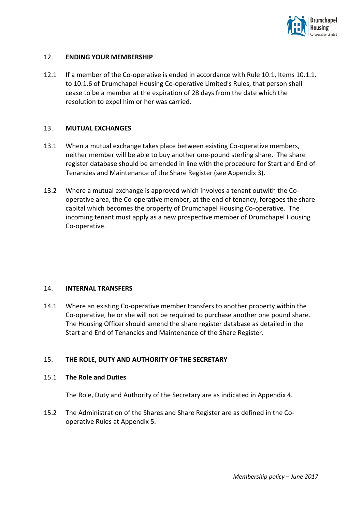

#### 12. **ENDING YOUR MEMBERSHIP**

12.1 If a member of the Co-operative is ended in accordance with Rule 10.1, Items 10.1.1. to 10.1.6 of Drumchapel Housing Co-operative Limited's Rules, that person shall cease to be a member at the expiration of 28 days from the date which the resolution to expel him or her was carried.

#### 13. **MUTUAL EXCHANGES**

- 13.1 When a mutual exchange takes place between existing Co-operative members, neither member will be able to buy another one-pound sterling share. The share register database should be amended in line with the procedure for Start and End of Tenancies and Maintenance of the Share Register (see Appendix 3).
- 13.2 Where a mutual exchange is approved which involves a tenant outwith the Cooperative area, the Co-operative member, at the end of tenancy, foregoes the share capital which becomes the property of Drumchapel Housing Co-operative. The incoming tenant must apply as a new prospective member of Drumchapel Housing Co-operative.

#### 14. **INTERNAL TRANSFERS**

14.1 Where an existing Co-operative member transfers to another property within the Co-operative, he or she will not be required to purchase another one pound share. The Housing Officer should amend the share register database as detailed in the Start and End of Tenancies and Maintenance of the Share Register.

## 15. **THE ROLE, DUTY AND AUTHORITY OF THE SECRETARY**

#### 15.1 **The Role and Duties**

The Role, Duty and Authority of the Secretary are as indicated in Appendix 4.

15.2 The Administration of the Shares and Share Register are as defined in the Cooperative Rules at Appendix 5.